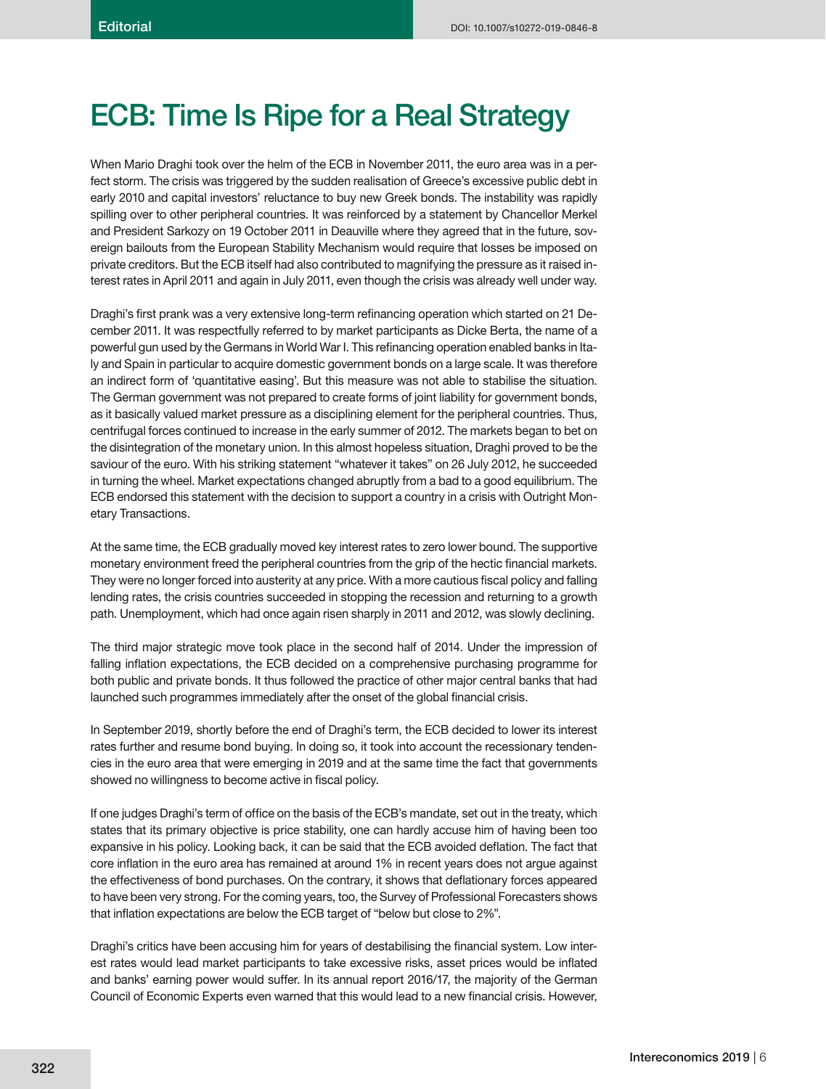## **ECB: Time Is Ripe for a Real Strategy**

When Mario Draghi took over the helm of the ECB in November 2011, the euro area was in a perfect storm. The crisis was triggered by the sudden realisation of Greece's excessive public debt in early 2010 and capital investors' reluctance to buy new Greek bonds. The instability was rapidly spilling over to other peripheral countries. It was reinforced by a statement by Chancellor Merkel and President Sarkozy on 19 October 2011 in Deauville where they agreed that in the future, sovereign bailouts from the European Stability Mechanism would require that losses be imposed on private creditors. But the ECB itself had also contributed to magnifying the pressure as it raised interest rates in April 2011 and again in July 2011, even though the crisis was already well under way.

Draghi's first prank was a very extensive long-term refinancing operation which started on 21 December 2011. It was respectfully referred to by market participants as Dicke Berta, the name of a powerful gun used by the Germans in World War I. This refinancing operation enabled banks in Italy and Spain in particular to acquire domestic government bonds on a large scale. It was therefore an indirect form of 'quantitative easing'. But this measure was not able to stabilise the situation. The German government was not prepared to create forms of joint liability for government bonds, as it basically valued market pressure as a disciplining element for the peripheral countries. Thus, centrifugal forces continued to increase in the early summer of 2012. The markets began to bet on the disintegration of the monetary union. In this almost hopeless situation, Draghi proved to be the saviour of the euro. With his striking statement "whatever it takes" on 26 July 2012, he succeeded in turning the wheel. Market expectations changed abruptly from a bad to a good equilibrium. The ECB endorsed this statement with the decision to support a country in a crisis with Outright Monetary Transactions.

At the same time, the ECB gradually moved key interest rates to zero lower bound. The supportive monetary environment freed the peripheral countries from the grip of the hectic financial markets. They were no longer forced into austerity at any price. With a more cautious fiscal policy and falling lending rates, the crisis countries succeeded in stopping the recession and returning to a growth path. Unemployment, which had once again risen sharply in 2011 and 2012, was slowly declining.

The third major strategic move took place in the second half of 2014. Under the impression of falling inflation expectations, the ECB decided on a comprehensive purchasing programme for both public and private bonds. It thus followed the practice of other major central banks that had launched such programmes immediately after the onset of the global financial crisis.

In September 2019, shortly before the end of Draghi's term, the ECB decided to lower its interest rates further and resume bond buying. In doing so, it took into account the recessionary tendencies in the euro area that were emerging in 2019 and at the same time the fact that governments showed no willingness to become active in fiscal policy.

If one judges Draghi's term of office on the basis of the ECB's mandate, set out in the treaty, which states that its primary objective is price stability, one can hardly accuse him of having been too expansive in his policy. Looking back, it can be said that the ECB avoided deflation. The fact that core inflation in the euro area has remained at around 1% in recent years does not arque against the effectiveness of bond purchases. On the contrary, it shows that deflationary forces appeared to have been very strong. For the coming years, too, the Survey of Professional Forecasters shows that inflation expectations are below the ECB target of "below but close to 2%".

Draghi's critics have been accusing him for years of destabilising the financial system. Low interest rates would lead market participants to take excessive risks, asset prices would be inflated and banks' earning power would suffer. In its annual report 2016/17, the majority of the German Council of Economic Experts even warned that this would lead to a new financial crisis. However,